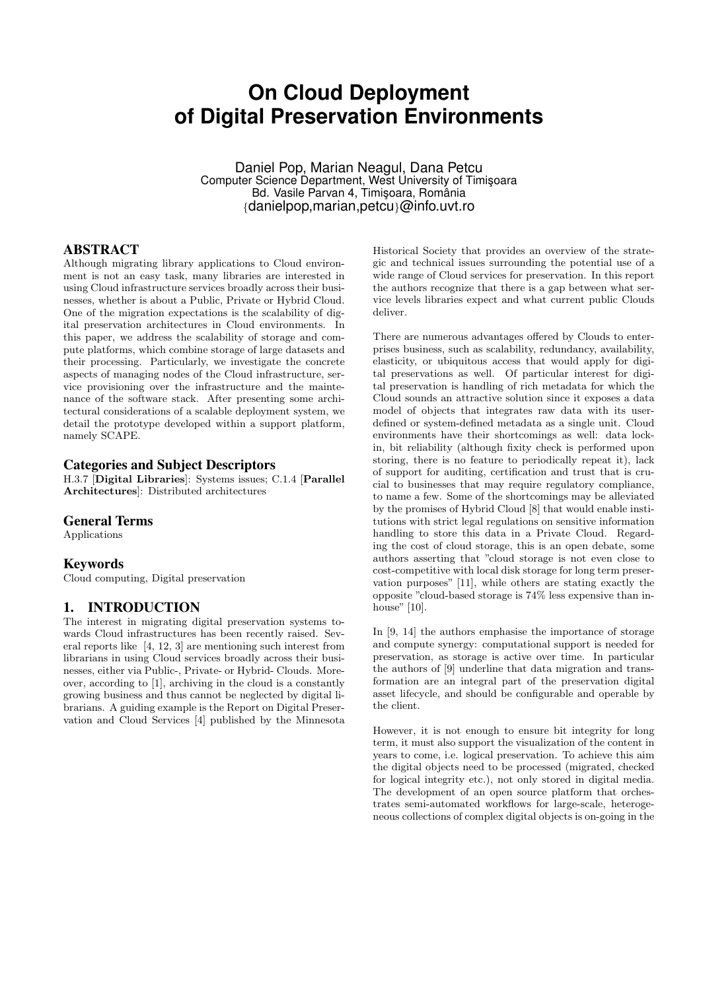# **On Cloud Deployment of Digital Preservation Environments**

Daniel Pop, Marian Neagul, Dana Petcu Computer Science Department, West University of Timisoara Bd. Vasile Parvan 4, Timișoara, România *{*danielpop,marian,petcu*}*@info.uvt.ro

# ABSTRACT

Although migrating library applications to Cloud environment is not an easy task, many libraries are interested in using Cloud infrastructure services broadly across their businesses, whether is about a Public, Private or Hybrid Cloud. One of the migration expectations is the scalability of digital preservation architectures in Cloud environments. In this paper, we address the scalability of storage and compute platforms, which combine storage of large datasets and their processing. Particularly, we investigate the concrete aspects of managing nodes of the Cloud infrastructure, service provisioning over the infrastructure and the maintenance of the software stack. After presenting some architectural considerations of a scalable deployment system, we detail the prototype developed within a support platform, namely SCAPE.

#### Categories and Subject Descriptors

H.3.7 [**Digital Libraries**]: Systems issues; C.1.4 [**Parallel Architectures**]: Distributed architectures

#### General Terms

Applications

## Keywords

Cloud computing, Digital preservation

# 1. INTRODUCTION

The interest in migrating digital preservation systems towards Cloud infrastructures has been recently raised. Several reports like [4, 12, 3] are mentioning such interest from librarians in using Cloud services broadly across their businesses, either via Public-, Private- or Hybrid- Clouds. Moreover, according to [1], archiving in the cloud is a constantly growing business and thus cannot be neglected by digital librarians. A guiding example is the Report on Digital Preservation and Cloud Services [4] published by the Minnesota

Historical Society that provides an overview of the strategic and technical issues surrounding the potential use of a wide range of Cloud services for preservation. In this report the authors recognize that there is a gap between what service levels libraries expect and what current public Clouds deliver.

There are numerous advantages offered by Clouds to enterprises business, such as scalability, redundancy, availability, elasticity, or ubiquitous access that would apply for digital preservations as well. Of particular interest for digital preservation is handling of rich metadata for which the Cloud sounds an attractive solution since it exposes a data model of objects that integrates raw data with its userdefined or system-defined metadata as a single unit. Cloud environments have their shortcomings as well: data lockin, bit reliability (although fixity check is performed upon storing, there is no feature to periodically repeat it), lack of support for auditing, certification and trust that is crucial to businesses that may require regulatory compliance, to name a few. Some of the shortcomings may be alleviated by the promises of Hybrid Cloud [8] that would enable institutions with strict legal regulations on sensitive information handling to store this data in a Private Cloud. Regarding the cost of cloud storage, this is an open debate, some authors asserting that "cloud storage is not even close to cost-competitive with local disk storage for long term preservation purposes" [11], while others are stating exactly the opposite "cloud-based storage is 74% less expensive than inhouse" [10].

In [9, 14] the authors emphasise the importance of storage and compute synergy: computational support is needed for preservation, as storage is active over time. In particular the authors of [9] underline that data migration and transformation are an integral part of the preservation digital asset lifecycle, and should be configurable and operable by the client.

However, it is not enough to ensure bit integrity for long term, it must also support the visualization of the content in years to come, i.e. logical preservation. To achieve this aim the digital objects need to be processed (migrated, checked for logical integrity etc.), not only stored in digital media. The development of an open source platform that orchestrates semi-automated workflows for large-scale, heterogeneous collections of complex digital objects is on-going in the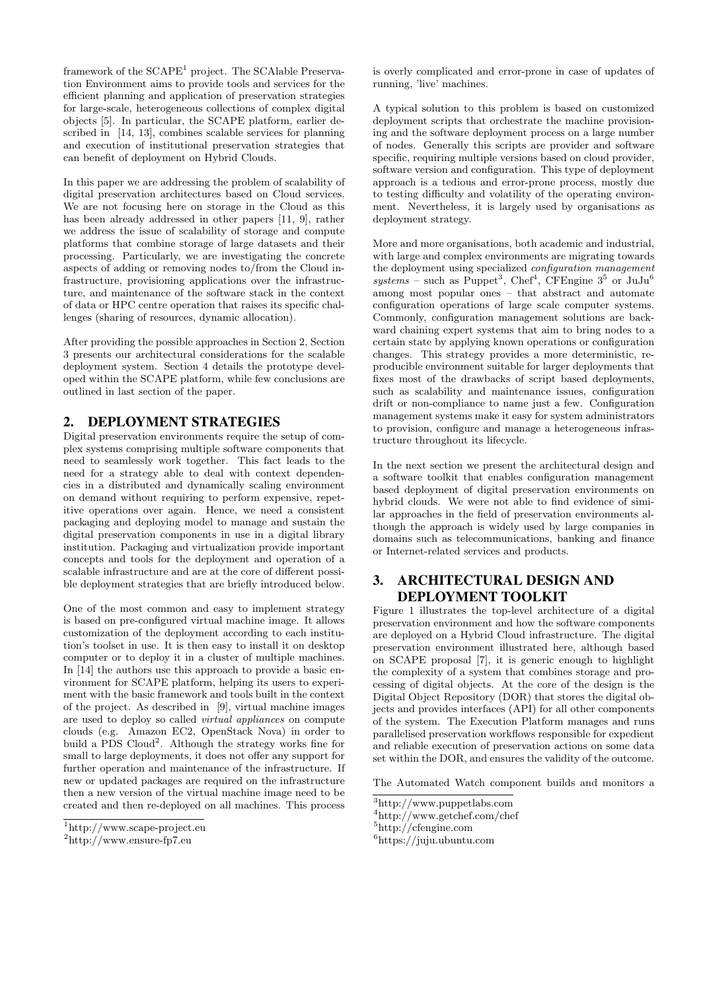framework of the SCAPE<sup>1</sup> project. The SCAlable Preservation Environment aims to provide tools and services for the efficient planning and application of preservation strategies for large-scale, heterogeneous collections of complex digital objects [5]. In particular, the SCAPE platform, earlier described in [14, 13], combines scalable services for planning and execution of institutional preservation strategies that can benefit of deployment on Hybrid Clouds.

In this paper we are addressing the problem of scalability of digital preservation architectures based on Cloud services. We are not focusing here on storage in the Cloud as this has been already addressed in other papers [11, 9], rather we address the issue of scalability of storage and compute platforms that combine storage of large datasets and their processing. Particularly, we are investigating the concrete aspects of adding or removing nodes to/from the Cloud infrastructure, provisioning applications over the infrastructure, and maintenance of the software stack in the context of data or HPC centre operation that raises its specific challenges (sharing of resources, dynamic allocation).

After providing the possible approaches in Section 2, Section 3 presents our architectural considerations for the scalable deployment system. Section 4 details the prototype developed within the SCAPE platform, while few conclusions are outlined in last section of the paper.

# 2. DEPLOYMENT STRATEGIES

Digital preservation environments require the setup of complex systems comprising multiple software components that need to seamlessly work together. This fact leads to the need for a strategy able to deal with context dependencies in a distributed and dynamically scaling environment on demand without requiring to perform expensive, repetitive operations over again. Hence, we need a consistent packaging and deploying model to manage and sustain the digital preservation components in use in a digital library institution. Packaging and virtualization provide important concepts and tools for the deployment and operation of a scalable infrastructure and are at the core of different possible deployment strategies that are briefly introduced below.

One of the most common and easy to implement strategy is based on pre-configured virtual machine image. It allows customization of the deployment according to each institution's toolset in use. It is then easy to install it on desktop computer or to deploy it in a cluster of multiple machines. In [14] the authors use this approach to provide a basic environment for SCAPE platform, helping its users to experiment with the basic framework and tools built in the context of the project. As described in [9], virtual machine images are used to deploy so called *virtual appliances* on compute clouds (e.g. Amazon EC2, OpenStack Nova) in order to build a PDS Cloud<sup>2</sup>. Although the strategy works fine for small to large deployments, it does not offer any support for further operation and maintenance of the infrastructure. If new or updated packages are required on the infrastructure then a new version of the virtual machine image need to be created and then re-deployed on all machines. This process is overly complicated and error-prone in case of updates of running, 'live' machines.

A typical solution to this problem is based on customized deployment scripts that orchestrate the machine provisioning and the software deployment process on a large number of nodes. Generally this scripts are provider and software specific, requiring multiple versions based on cloud provider, software version and configuration. This type of deployment approach is a tedious and error-prone process, mostly due to testing difficulty and volatility of the operating environment. Nevertheless, it is largely used by organisations as deployment strategy.

More and more organisations, both academic and industrial, with large and complex environments are migrating towards the deployment using specialized *configuration management*  $systems$  – such as Puppet<sup>3</sup>, Chef<sup>4</sup>, CFEngine  $3^5$  or JuJu<sup>6</sup> among most popular ones – that abstract and automate configuration operations of large scale computer systems. Commonly, configuration management solutions are backward chaining expert systems that aim to bring nodes to a certain state by applying known operations or configuration changes. This strategy provides a more deterministic, reproducible environment suitable for larger deployments that fixes most of the drawbacks of script based deployments, such as scalability and maintenance issues, configuration drift or non-compliance to name just a few. Configuration management systems make it easy for system administrators to provision, configure and manage a heterogeneous infrastructure throughout its lifecycle.

In the next section we present the architectural design and a software toolkit that enables configuration management based deployment of digital preservation environments on hybrid clouds. We were not able to find evidence of similar approaches in the field of preservation environments although the approach is widely used by large companies in domains such as telecommunications, banking and finance or Internet-related services and products.

# 3. ARCHITECTURAL DESIGN AND DEPLOYMENT TOOLKIT

Figure 1 illustrates the top-level architecture of a digital preservation environment and how the software components are deployed on a Hybrid Cloud infrastructure. The digital preservation environment illustrated here, although based on SCAPE proposal [7], it is generic enough to highlight the complexity of a system that combines storage and processing of digital objects. At the core of the design is the Digital Object Repository (DOR) that stores the digital objects and provides interfaces (API) for all other components of the system. The Execution Platform manages and runs parallelised preservation workflows responsible for expedient and reliable execution of preservation actions on some data set within the DOR, and ensures the validity of the outcome.

The Automated Watch component builds and monitors a

<sup>1</sup>http://www.scape-project.eu

<sup>2</sup>http://www.ensure-fp7.eu

<sup>3</sup>http://www.puppetlabs.com

<sup>4</sup>http://www.getchef.com/chef

 $5$ http://cfengine.com

 $6$ https://juju.ubuntu.com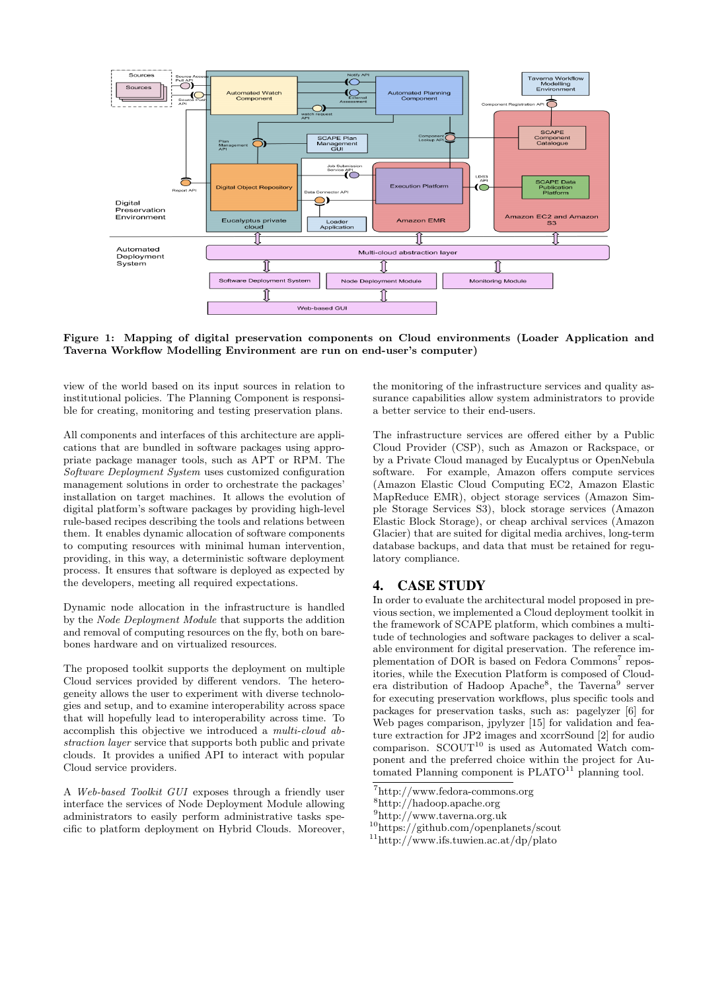

**Figure 1: Mapping of digital preservation components on Cloud environments (Loader Application and Taverna Workflow Modelling Environment are run on end-user's computer)**

view of the world based on its input sources in relation to institutional policies. The Planning Component is responsible for creating, monitoring and testing preservation plans.

All components and interfaces of this architecture are applications that are bundled in software packages using appropriate package manager tools, such as APT or RPM. The *Software Deployment System* uses customized configuration management solutions in order to orchestrate the packages' installation on target machines. It allows the evolution of digital platform's software packages by providing high-level rule-based recipes describing the tools and relations between them. It enables dynamic allocation of software components to computing resources with minimal human intervention, providing, in this way, a deterministic software deployment process. It ensures that software is deployed as expected by the developers, meeting all required expectations.

Dynamic node allocation in the infrastructure is handled by the *Node Deployment Module* that supports the addition and removal of computing resources on the fly, both on barebones hardware and on virtualized resources.

The proposed toolkit supports the deployment on multiple Cloud services provided by different vendors. The heterogeneity allows the user to experiment with diverse technologies and setup, and to examine interoperability across space that will hopefully lead to interoperability across time. To accomplish this objective we introduced a *multi-cloud abstraction layer* service that supports both public and private clouds. It provides a unified API to interact with popular Cloud service providers.

A *Web-based Toolkit GUI* exposes through a friendly user interface the services of Node Deployment Module allowing administrators to easily perform administrative tasks specific to platform deployment on Hybrid Clouds. Moreover,

the monitoring of the infrastructure services and quality assurance capabilities allow system administrators to provide a better service to their end-users.

The infrastructure services are offered either by a Public Cloud Provider (CSP), such as Amazon or Rackspace, or by a Private Cloud managed by Eucalyptus or OpenNebula software. For example, Amazon offers compute services (Amazon Elastic Cloud Computing EC2, Amazon Elastic MapReduce EMR), object storage services (Amazon Simple Storage Services S3), block storage services (Amazon Elastic Block Storage), or cheap archival services (Amazon Glacier) that are suited for digital media archives, long-term database backups, and data that must be retained for regulatory compliance.

## 4. CASE STUDY

In order to evaluate the architectural model proposed in previous section, we implemented a Cloud deployment toolkit in the framework of SCAPE platform, which combines a multitude of technologies and software packages to deliver a scalable environment for digital preservation. The reference implementation of DOR is based on Fedora Commons<sup>7</sup> repositories, while the Execution Platform is composed of Cloudera distribution of Hadoop Apache<sup>8</sup>, the Taverna<sup>9</sup> server for executing preservation workflows, plus specific tools and packages for preservation tasks, such as: pagelyzer [6] for Web pages comparison, jpylyzer [15] for validation and feature extraction for JP2 images and xcorrSound [2] for audio comparison.  $SCOUT<sup>10</sup>$  is used as Automated Watch component and the preferred choice within the project for Automated Planning component is  $PLATO^{11}$  planning tool.

 ${\rm ^7}$ http://www.fedora-commons.org

<sup>8</sup>http://hadoop.apache.org

 $9$ http://www.taverna.org.uk

<sup>10</sup>https://github.com/openplanets/scout

<sup>11</sup>http://www.ifs.tuwien.ac.at/dp/plato